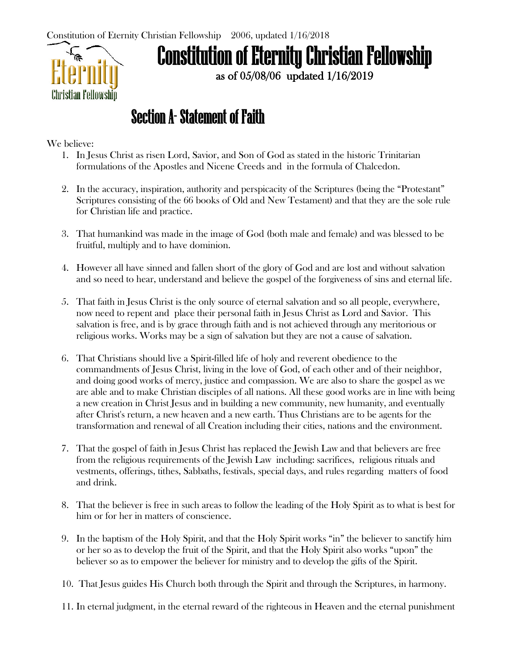

# Constitution of Eternity Christian Fellowship

as of 05/08/06 updated 1/16/2019

## Section A- Statement of Faith

We believe:

- 1. In Jesus Christ as risen Lord, Savior, and Son of God as stated in the historic Trinitarian formulations of the Apostles and Nicene Creeds and in the formula of Chalcedon.
- 2. In the accuracy, inspiration, authority and perspicacity of the Scriptures (being the "Protestant" Scriptures consisting of the 66 books of Old and New Testament) and that they are the sole rule for Christian life and practice.
- 3. That humankind was made in the image of God (both male and female) and was blessed to be fruitful, multiply and to have dominion.
- 4. However all have sinned and fallen short of the glory of God and are lost and without salvation and so need to hear, understand and believe the gospel of the forgiveness of sins and eternal life.
- 5. That faith in Jesus Christ is the only source of eternal salvation and so all people, everywhere, now need to repent and place their personal faith in Jesus Christ as Lord and Savior. This salvation is free, and is by grace through faith and is not achieved through any meritorious or religious works. Works may be a sign of salvation but they are not a cause of salvation.
- 6. That Christians should live a Spirit-filled life of holy and reverent obedience to the commandments of Jesus Christ, living in the love of God, of each other and of their neighbor, and doing good works of mercy, justice and compassion. We are also to share the gospel as we are able and to make Christian disciples of all nations. All these good works are in line with being a new creation in Christ Jesus and in building a new community, new humanity, and eventually after Christ's return, a new heaven and a new earth. Thus Christians are to be agents for the transformation and renewal of all Creation including their cities, nations and the environment.
- 7. That the gospel of faith in Jesus Christ has replaced the Jewish Law and that believers are free from the religious requirements of the Jewish Law including: sacrifices, religious rituals and vestments, offerings, tithes, Sabbaths, festivals, special days, and rules regarding matters of food and drink.
- 8. That the believer is free in such areas to follow the leading of the Holy Spirit as to what is best for him or for her in matters of conscience.
- 9. In the baptism of the Holy Spirit, and that the Holy Spirit works "in" the believer to sanctify him or her so as to develop the fruit of the Spirit, and that the Holy Spirit also works "upon" the believer so as to empower the believer for ministry and to develop the gifts of the Spirit.
- 10. That Jesus guides His Church both through the Spirit and through the Scriptures, in harmony.
- 11. In eternal judgment, in the eternal reward of the righteous in Heaven and the eternal punishment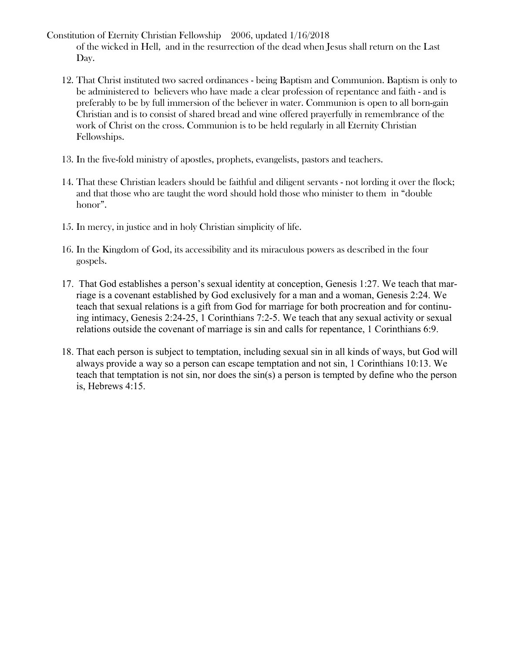- Constitution of Eternity Christian Fellowship 2006, updated 1/16/2018 of the wicked in Hell, and in the resurrection of the dead when Jesus shall return on the Last Day.
	- 12. That Christ instituted two sacred ordinances being Baptism and Communion. Baptism is only to be administered to believers who have made a clear profession of repentance and faith - and is preferably to be by full immersion of the believer in water. Communion is open to all born-gain Christian and is to consist of shared bread and wine offered prayerfully in remembrance of the work of Christ on the cross. Communion is to be held regularly in all Eternity Christian Fellowships.
	- 13. In the five-fold ministry of apostles, prophets, evangelists, pastors and teachers.
	- 14. That these Christian leaders should be faithful and diligent servants not lording it over the flock; and that those who are taught the word should hold those who minister to them in "double honor".
	- 15. In mercy, in justice and in holy Christian simplicity of life.
	- 16. In the Kingdom of God, its accessibility and its miraculous powers as described in the four gospels.
	- 17. That God establishes a person's sexual identity at conception, Genesis 1:27. We teach that marriage is a covenant established by God exclusively for a man and a woman, Genesis 2:24. We teach that sexual relations is a gift from God for marriage for both procreation and for continuing intimacy, Genesis 2:24-25, 1 Corinthians 7:2-5. We teach that any sexual activity or sexual relations outside the covenant of marriage is sin and calls for repentance, 1 Corinthians 6:9.
	- 18. That each person is subject to temptation, including sexual sin in all kinds of ways, but God will always provide a way so a person can escape temptation and not sin, 1 Corinthians 10:13. We teach that temptation is not sin, nor does the sin(s) a person is tempted by define who the person is, Hebrews 4:15.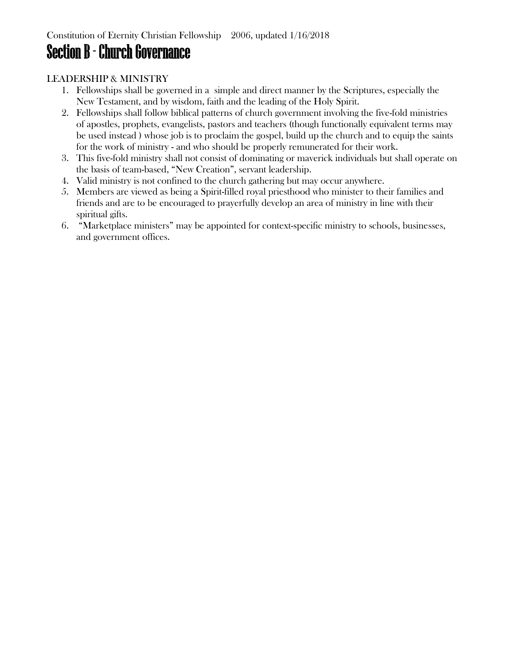### Section B - Church Governance

#### LEADERSHIP & MINISTRY

- 1. Fellowships shall be governed in a simple and direct manner by the Scriptures, especially the New Testament, and by wisdom, faith and the leading of the Holy Spirit.
- 2. Fellowships shall follow biblical patterns of church government involving the five-fold ministries of apostles, prophets, evangelists, pastors and teachers (though functionally equivalent terms may be used instead ) whose job is to proclaim the gospel, build up the church and to equip the saints for the work of ministry - and who should be properly remunerated for their work.
- 3. This five-fold ministry shall not consist of dominating or maverick individuals but shall operate on the basis of team-based, "New Creation", servant leadership.
- 4. Valid ministry is not confined to the church gathering but may occur anywhere.
- 5. Members are viewed as being a Spirit-filled royal priesthood who minister to their families and friends and are to be encouraged to prayerfully develop an area of ministry in line with their spiritual gifts.
- 6. "Marketplace ministers" may be appointed for context-specific ministry to schools, businesses, and government offices.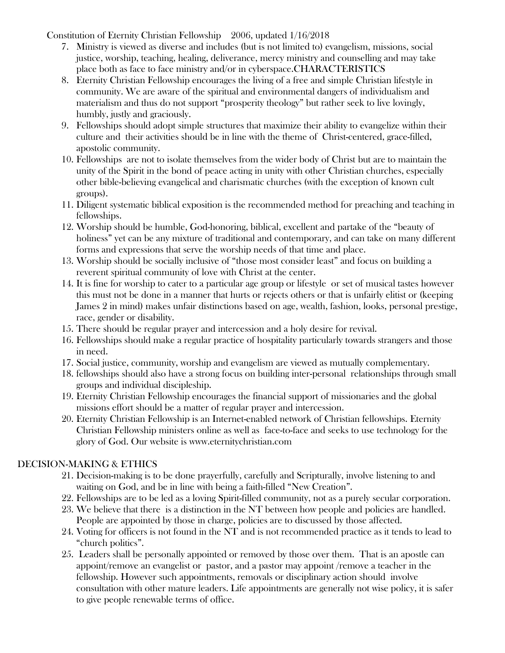Constitution of Eternity Christian Fellowship 2006, updated 1/16/2018

- 7. Ministry is viewed as diverse and includes (but is not limited to) evangelism, missions, social justice, worship, teaching, healing, deliverance, mercy ministry and counselling and may take place both as face to face ministry and/or in cyberspace.CHARACTERISTICS
- 8. Eternity Christian Fellowship encourages the living of a free and simple Christian lifestyle in community. We are aware of the spiritual and environmental dangers of individualism and materialism and thus do not support "prosperity theology" but rather seek to live lovingly, humbly, justly and graciously.
- 9. Fellowships should adopt simple structures that maximize their ability to evangelize within their culture and their activities should be in line with the theme of Christ-centered, grace-filled, apostolic community.
- 10. Fellowships are not to isolate themselves from the wider body of Christ but are to maintain the unity of the Spirit in the bond of peace acting in unity with other Christian churches, especially other bible-believing evangelical and charismatic churches (with the exception of known cult groups).
- 11. Diligent systematic biblical exposition is the recommended method for preaching and teaching in fellowships.
- 12. Worship should be humble, God-honoring, biblical, excellent and partake of the "beauty of holiness" yet can be any mixture of traditional and contemporary, and can take on many different forms and expressions that serve the worship needs of that time and place.
- 13. Worship should be socially inclusive of "those most consider least" and focus on building a reverent spiritual community of love with Christ at the center.
- 14. It is fine for worship to cater to a particular age group or lifestyle or set of musical tastes however this must not be done in a manner that hurts or rejects others or that is unfairly elitist or (keeping James 2 in mind) makes unfair distinctions based on age, wealth, fashion, looks, personal prestige, race, gender or disability.
- 15. There should be regular prayer and intercession and a holy desire for revival.
- 16. Fellowships should make a regular practice of hospitality particularly towards strangers and those in need.
- 17. Social justice, community, worship and evangelism are viewed as mutually complementary.
- 18. fellowships should also have a strong focus on building inter-personal relationships through small groups and individual discipleship.
- 19. Eternity Christian Fellowship encourages the financial support of missionaries and the global missions effort should be a matter of regular prayer and intercession.
- 20. Eternity Christian Fellowship is an Internet-enabled network of Christian fellowships. Eternity Christian Fellowship ministers online as well as face-to-face and seeks to use technology for the glory of God. Our website is [www.eternitychristian.com](http://www.eternitychristian.com/)

#### DECISION-MAKING & ETHICS

- 21. Decision-making is to be done prayerfully, carefully and Scripturally, involve listening to and waiting on God, and be in line with being a faith-filled "New Creation".
- 22. Fellowships are to be led as a loving Spirit-filled community, not as a purely secular corporation.
- 23. We believe that there is a distinction in the NT between how people and policies are handled. People are appointed by those in charge, policies are to discussed by those affected.
- 24. Voting for officers is not found in the NT and is not recommended practice as it tends to lead to "church politics".
- 25. Leaders shall be personally appointed or removed by those over them. That is an apostle can appoint/remove an evangelist or pastor, and a pastor may appoint /remove a teacher in the fellowship. However such appointments, removals or disciplinary action should involve consultation with other mature leaders. Life appointments are generally not wise policy, it is safer to give people renewable terms of office.